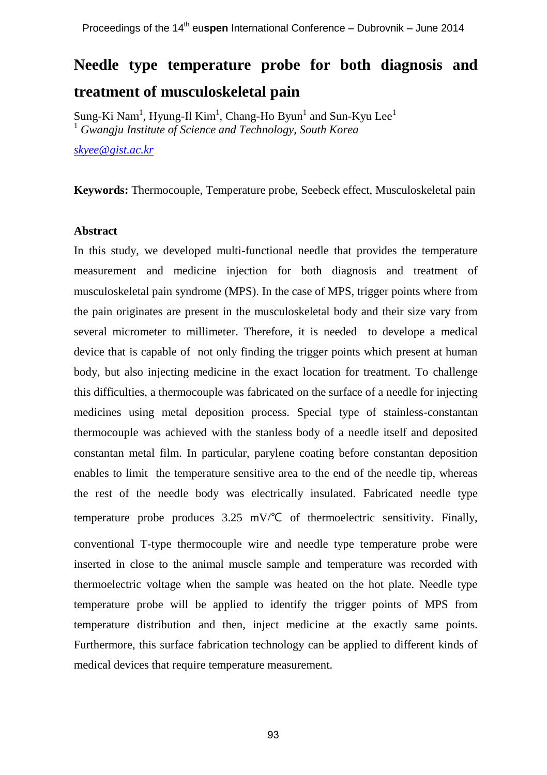# **Needle type temperature probe for both diagnosis and treatment of musculoskeletal pain**

Sung-Ki Nam<sup>1</sup>, Hyung-Il Kim<sup>1</sup>, Chang-Ho Byun<sup>1</sup> and Sun-Kyu Lee<sup>1</sup> <sup>1</sup> *Gwangju Institute of Science and Technology, South Korea*

*[skyee@gist.ac.kr](mailto:skyee@gist.ac.kr)*

**Keywords:** Thermocouple, Temperature probe, Seebeck effect, Musculoskeletal pain

#### **Abstract**

In this study, we developed multi-functional needle that provides the temperature measurement and medicine injection for both diagnosis and treatment of musculoskeletal pain syndrome (MPS). In the case of MPS, trigger points where from the pain originates are present in the musculoskeletal body and their size vary from several micrometer to millimeter. Therefore, it is needed to develope a medical device that is capable of not only finding the trigger points which present at human body, but also injecting medicine in the exact location for treatment. To challenge this difficulties, a thermocouple was fabricated on the surface of a needle for injecting medicines using metal deposition process. Special type of stainless-constantan thermocouple was achieved with the stanless body of a needle itself and deposited constantan metal film. In particular, parylene coating before constantan deposition enables to limit the temperature sensitive area to the end of the needle tip, whereas the rest of the needle body was electrically insulated. Fabricated needle type temperature probe produces 3.25 mV/℃ of thermoelectric sensitivity. Finally, conventional T-type thermocouple wire and needle type temperature probe were inserted in close to the animal muscle sample and temperature was recorded with thermoelectric voltage when the sample was heated on the hot plate. Needle type temperature probe will be applied to identify the trigger points of MPS from temperature distribution and then, inject medicine at the exactly same points. Furthermore, this surface fabrication technology can be applied to different kinds of medical devices that require temperature measurement.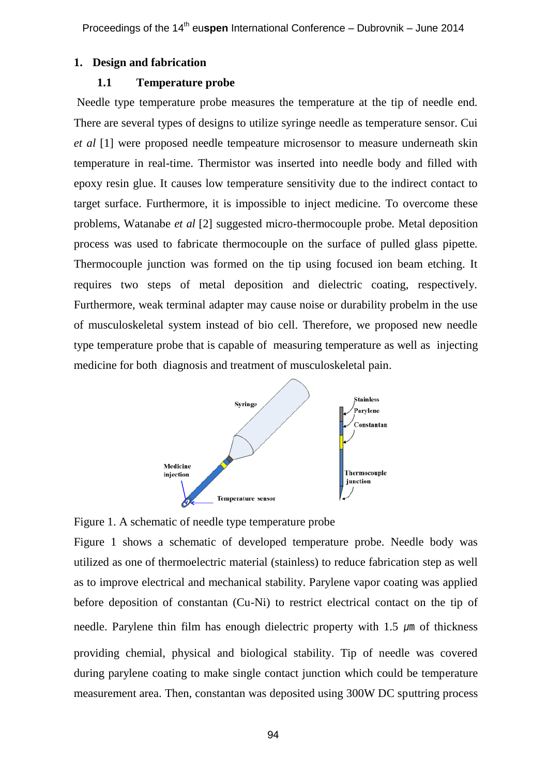#### **1. Design and fabrication**

## **1.1 Temperature probe**

Needle type temperature probe measures the temperature at the tip of needle end. There are several types of designs to utilize syringe needle as temperature sensor. Cui *et al* [1] were proposed needle tempeature microsensor to measure underneath skin temperature in real-time. Thermistor was inserted into needle body and filled with epoxy resin glue. It causes low temperature sensitivity due to the indirect contact to target surface. Furthermore, it is impossible to inject medicine. To overcome these problems, Watanabe *et al* [2] suggested micro-thermocouple probe. Metal deposition process was used to fabricate thermocouple on the surface of pulled glass pipette. Thermocouple junction was formed on the tip using focused ion beam etching. It requires two steps of metal deposition and dielectric coating, respectively. Furthermore, weak terminal adapter may cause noise or durability probelm in the use of musculoskeletal system instead of bio cell. Therefore, we proposed new needle type temperature probe that is capable of measuring temperature as well as injecting medicine for both diagnosis and treatment of musculoskeletal pain.



Figure 1. A schematic of needle type temperature probe

Figure 1 shows a schematic of developed temperature probe. Needle body was utilized as one of thermoelectric material (stainless) to reduce fabrication step as well as to improve electrical and mechanical stability. Parylene vapor coating was applied before deposition of constantan (Cu-Ni) to restrict electrical contact on the tip of needle. Parylene thin film has enough dielectric property with  $1.5 \mu m$  of thickness providing chemial, physical and biological stability. Tip of needle was covered during parylene coating to make single contact junction which could be temperature measurement area. Then, constantan was deposited using 300W DC sputtring process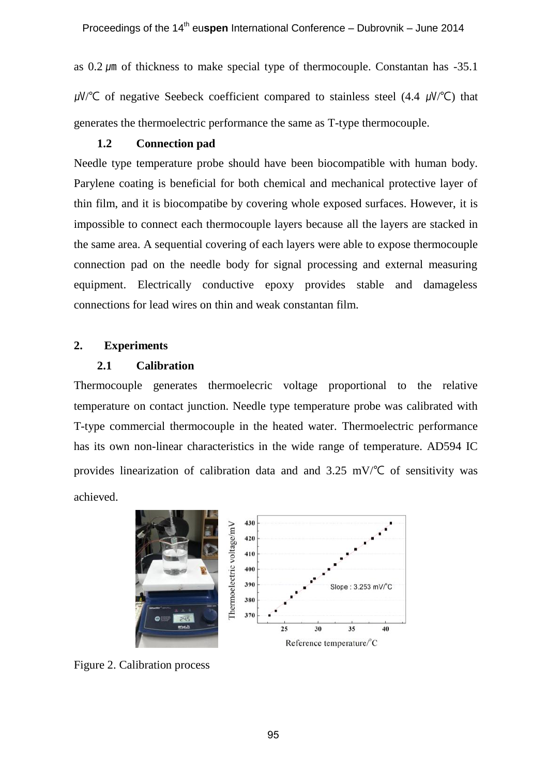as  $0.2 \mu m$  of thickness to make special type of thermocouple. Constantan has  $-35.1$  $\mu$ W/°C of negative Seebeck coefficient compared to stainless steel (4.4  $\mu$ W/°C) that generates the thermoelectric performance the same as T-type thermocouple.

# **1.2 Connection pad**

Needle type temperature probe should have been biocompatible with human body. Parylene coating is beneficial for both chemical and mechanical protective layer of thin film, and it is biocompatibe by covering whole exposed surfaces. However, it is impossible to connect each thermocouple layers because all the layers are stacked in the same area. A sequential covering of each layers were able to expose thermocouple connection pad on the needle body for signal processing and external measuring equipment. Electrically conductive epoxy provides stable and damageless connections for lead wires on thin and weak constantan film.

# **2. Experiments**

## **2.1 Calibration**

Thermocouple generates thermoelecric voltage proportional to the relative temperature on contact junction. Needle type temperature probe was calibrated with T-type commercial thermocouple in the heated water. Thermoelectric performance has its own non-linear characteristics in the wide range of temperature. AD594 IC provides linearization of calibration data and and  $3.25$  mV/ $\degree$ C of sensitivity was achieved.



Figure 2. Calibration process